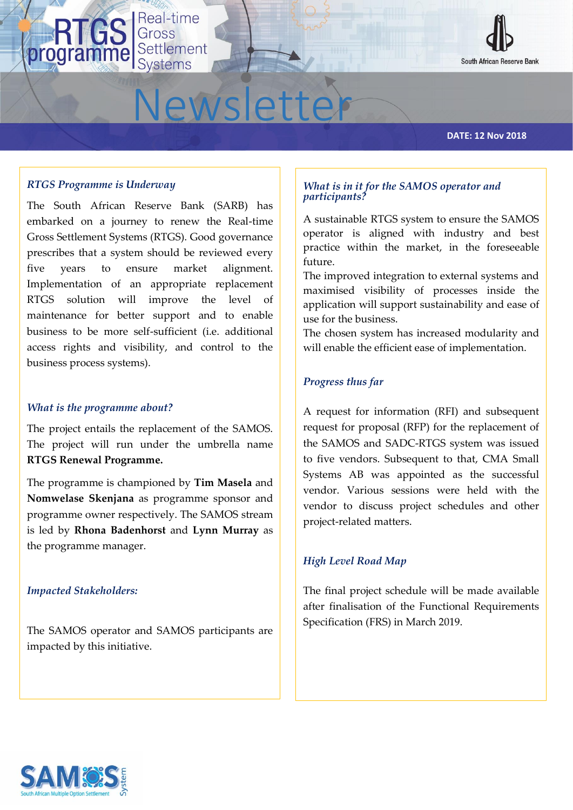

# Newsletter

#### **DATE: 12 Nov 2018**

## *RTGS Programme is Underway*

The South African Reserve Bank (SARB) has embarked on a journey to renew the Real-time Gross Settlement Systems (RTGS). Good governance prescribes that a system should be reviewed every five years to ensure market alignment. Implementation of an appropriate replacement RTGS solution will improve the level of maintenance for better support and to enable business to be more self-sufficient (i.e. additional access rights and visibility, and control to the business process systems).

Real-time

Settlement

Systems

Gross

#### *What is the programme about?*

The project entails the replacement of the SAMOS. The project will run under the umbrella name **RTGS Renewal Programme.** 

The programme is championed by **Tim Masela** and **Nomwelase Skenjana** as programme sponsor and programme owner respectively. The SAMOS stream is led by **Rhona Badenhorst** and **Lynn Murray** as the programme manager.

## *Impacted Stakeholders:*

The SAMOS operator and SAMOS participants are impacted by this initiative.

## *What is in it for the SAMOS operator and participants?*

A sustainable RTGS system to ensure the SAMOS operator is aligned with industry and best practice within the market, in the foreseeable future.

The improved integration to external systems and maximised visibility of processes inside the application will support sustainability and ease of use for the business.

The chosen system has increased modularity and will enable the efficient ease of implementation.

#### *Progress thus far*

A request for information (RFI) and subsequent request for proposal (RFP) for the replacement of the SAMOS and SADC-RTGS system was issued to five vendors. Subsequent to that, CMA Small Systems AB was appointed as the successful vendor. Various sessions were held with the vendor to discuss project schedules and other project-related matters.

## *High Level Road Map*

The final project schedule will be made available after finalisation of the Functional Requirements Specification (FRS) in March 2019.